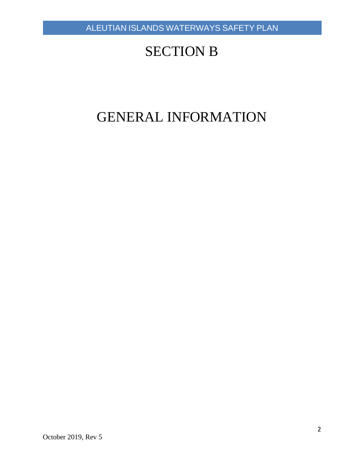## SECTION B

# GENERAL INFORMATION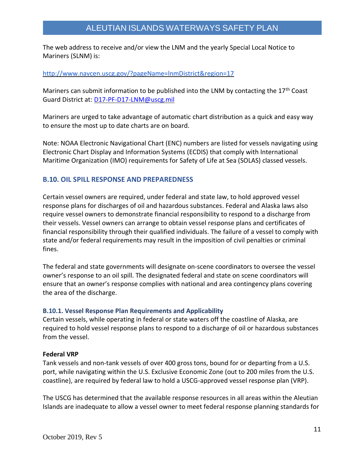The web address to receive and/or view the LNM and the yearly Special Local Notice to Mariners (SLNM) is:

#### [http://www.navcen.uscg.gov/?pageName=lnmDistrict&region=17](http://www.navcen.uscg.gov/?pageName=lnmDistrict®ion=17)

Mariners can submit information to be published into the LNM by contacting the 17<sup>th</sup> Coast Guard District at: [D17-PF-D17-LNM@uscg.mil](mailto:D17-PF-D17-LNM@uscg.mil)

Mariners are urged to take advantage of automatic chart distribution as a quick and easy way to ensure the most up to date charts are on board.

Note: NOAA Electronic Navigational Chart (ENC) numbers are listed for vessels navigating using Electronic Chart Display and Information Systems (ECDIS) that comply with International Maritime Organization (IMO) requirements for Safety of Life at Sea (SOLAS) classed vessels.

#### **B.10. OIL SPILL RESPONSE AND PREPAREDNESS**

Certain vessel owners are required, under federal and state law, to hold approved vessel response plans for discharges of oil and hazardous substances. Federal and Alaska laws also require vessel owners to demonstrate financial responsibility to respond to a discharge from their vessels. Vessel owners can arrange to obtain vessel response plans and certificates of financial responsibility through their qualified individuals. The failure of a vessel to comply with state and/or federal requirements may result in the imposition of civil penalties or criminal fines.

The federal and state governments will designate on-scene coordinators to oversee the vessel owner's response to an oil spill. The designated federal and state on scene coordinators will ensure that an owner's response complies with national and area contingency plans covering the area of the discharge.

#### **B.10.1. Vessel Response Plan Requirements and Applicability**

Certain vessels, while operating in federal or state waters off the coastline of Alaska, are required to hold vessel response plans to respond to a discharge of oil or hazardous substances from the vessel.

#### **Federal VRP**

Tank vessels and non-tank vessels of over 400 gross tons, bound for or departing from a U.S. port, while navigating within the U.S. Exclusive Economic Zone (out to 200 miles from the U.S. coastline), are required by federal law to hold a USCG-approved vessel response plan (VRP).

The USCG has determined that the available response resources in all areas within the Aleutian Islands are inadequate to allow a vessel owner to meet federal response planning standards for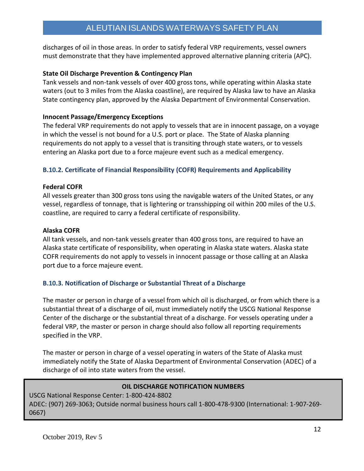discharges of oil in those areas. In order to satisfy federal VRP requirements, vessel owners must demonstrate that they have implemented approved alternative planning criteria (APC).

#### **State Oil Discharge Prevention & Contingency Plan**

Tank vessels and non-tank vessels of over 400 gross tons, while operating within Alaska state waters (out to 3 miles from the Alaska coastline), are required by Alaska law to have an Alaska State contingency plan, approved by the Alaska Department of Environmental Conservation.

#### **Innocent Passage/Emergency Exceptions**

The federal VRP requirements do not apply to vessels that are in innocent passage, on a voyage in which the vessel is not bound for a U.S. port or place. The State of Alaska planning requirements do not apply to a vessel that is transiting through state waters, or to vessels entering an Alaska port due to a force majeure event such as a medical emergency.

#### **B.10.2. Certificate of Financial Responsibility (COFR) Requirements and Applicability**

#### **Federal COFR**

All vessels greater than 300 gross tons using the navigable waters of the United States, or any vessel, regardless of tonnage, that is lightering or transshipping oil within 200 miles of the U.S. coastline, are required to carry a federal certificate of responsibility.

#### **Alaska COFR**

All tank vessels, and non-tank vessels greater than 400 gross tons, are required to have an Alaska state certificate of responsibility, when operating in Alaska state waters. Alaska state COFR requirements do not apply to vessels in innocent passage or those calling at an Alaska port due to a force majeure event.

#### **B.10.3. Notification of Discharge or Substantial Threat of a Discharge**

The master or person in charge of a vessel from which oil is discharged, or from which there is a substantial threat of a discharge of oil, must immediately notify the USCG National Response Center of the discharge or the substantial threat of a discharge. For vessels operating under a federal VRP, the master or person in charge should also follow all reporting requirements specified in the VRP.

The master or person in charge of a vessel operating in waters of the State of Alaska must immediately notify the State of Alaska Department of Environmental Conservation (ADEC) of a discharge of oil into state waters from the vessel.

#### **OIL DISCHARGE NOTIFICATION NUMBERS**

USCG National Response Center: 1-800-424-8802 ADEC: (907) 269-3063; Outside normal business hours call 1-800-478-9300 (International: 1-907-269- 0667)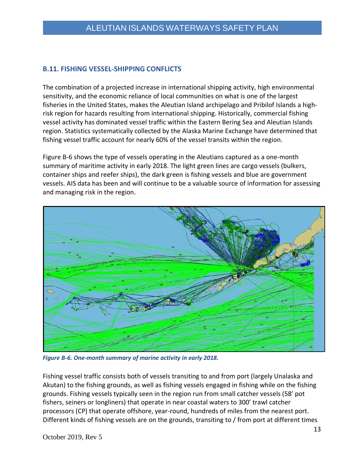#### **B.11. FISHING VESSEL-SHIPPING CONFLICTS**

The combination of a projected increase in international shipping activity, high environmental sensitivity, and the economic reliance of local communities on what is one of the largest fisheries in the United States, makes the Aleutian Island archipelago and Pribilof Islands a highrisk region for hazards resulting from international shipping. Historically, commercial fishing vessel activity has dominated vessel traffic within the Eastern Bering Sea and Aleutian Islands region. Statistics systematically collected by the Alaska Marine Exchange have determined that fishing vessel traffic account for nearly 60% of the vessel transits within the region.

Figure B-6 shows the type of vessels operating in the Aleutians captured as a one-month summary of maritime activity in early 2018. The light green lines are cargo vessels (bulkers, container ships and reefer ships), the dark green is fishing vessels and blue are government vessels. AIS data has been and will continue to be a valuable source of information for assessing and managing risk in the region.



*Figure B-6. One-month summary of marine activity in early 2018.*

Fishing vessel traffic consists both of vessels transiting to and from port (largely Unalaska and Akutan) to the fishing grounds, as well as fishing vessels engaged in fishing while on the fishing grounds. Fishing vessels typically seen in the region run from small catcher vessels (58' pot fishers, seiners or longliners) that operate in near coastal waters to 300' trawl catcher processors (CP) that operate offshore, year-round, hundreds of miles from the nearest port. Different kinds of fishing vessels are on the grounds, transiting to / from port at different times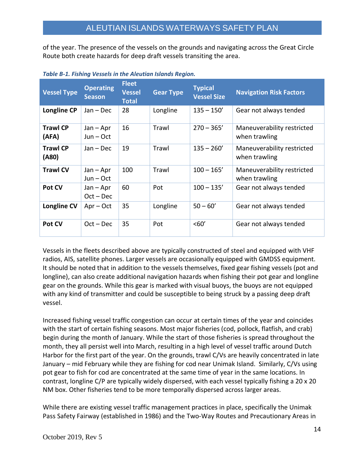of the year. The presence of the vessels on the grounds and navigating across the Great Circle Route both create hazards for deep draft vessels transiting the area.

| <b>Vessel Type</b>       | <b>Operating</b><br><b>Season</b> | <b>Fleet</b><br><b>Vessel</b><br><b>Total</b> | <b>Gear Type</b> | <b>Typical</b><br><b>Vessel Size</b> | <b>Navigation Risk Factors</b>              |
|--------------------------|-----------------------------------|-----------------------------------------------|------------------|--------------------------------------|---------------------------------------------|
| <b>Longline CP</b>       | $Jan - Dec$                       | 28                                            | Longline         | $135 - 150'$                         | Gear not always tended                      |
| <b>Trawl CP</b><br>(AFA) | $Jan - Apr$<br>$Jun - Oct$        | 16                                            | Trawl            | $270 - 365'$                         | Maneuverability restricted<br>when trawling |
| <b>Trawl CP</b><br>(A80) | $Jan - Dec$                       | 19                                            | Trawl            | $135 - 260'$                         | Maneuverability restricted<br>when trawling |
| <b>Trawl CV</b>          | $Jan - Apr$<br>$Jun - Oct$        | 100                                           | Trawl            | $100 - 165'$                         | Maneuverability restricted<br>when trawling |
| Pot CV                   | $Jan - Apr$<br>$Oct - Dec$        | 60                                            | Pot              | $100 - 135'$                         | Gear not always tended                      |
| <b>Longline CV</b>       | $Apr - Oct$                       | 35                                            | Longline         | $50 - 60'$                           | Gear not always tended                      |
| Pot CV                   | $Oct - Dec$                       | 35                                            | Pot              | <60'                                 | Gear not always tended                      |

*Table B-1. Fishing Vessels in the Aleutian Islands Region.*

Vessels in the fleets described above are typically constructed of steel and equipped with VHF radios, AIS, satellite phones. Larger vessels are occasionally equipped with GMDSS equipment. It should be noted that in addition to the vessels themselves, fixed gear fishing vessels (pot and longline), can also create additional navigation hazards when fishing their pot gear and longline gear on the grounds. While this gear is marked with visual buoys, the buoys are not equipped with any kind of transmitter and could be susceptible to being struck by a passing deep draft vessel.

Increased fishing vessel traffic congestion can occur at certain times of the year and coincides with the start of certain fishing seasons. Most major fisheries (cod, pollock, flatfish, and crab) begin during the month of January. While the start of those fisheries is spread throughout the month, they all persist well into March, resulting in a high level of vessel traffic around Dutch Harbor for the first part of the year. On the grounds, trawl C/Vs are heavily concentrated in late January – mid February while they are fishing for cod near Unimak Island. Similarly, C/Vs using pot gear to fish for cod are concentrated at the same time of year in the same locations. In contrast, longline C/P are typically widely dispersed, with each vessel typically fishing a 20 x 20 NM box. Other fisheries tend to be more temporally dispersed across larger areas.

While there are existing vessel traffic management practices in place, specifically the Unimak Pass Safety Fairway (established in 1986) and the Two-Way Routes and Precautionary Areas in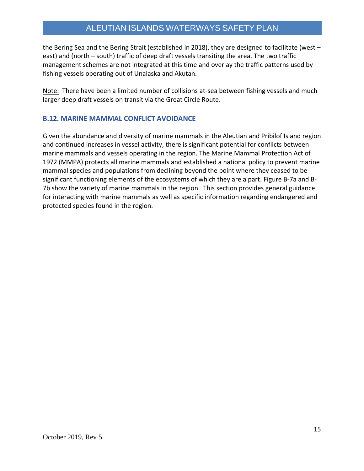#### ALEUTIAN ISLANDS WATERWAYS SAFETY PLAN

the Bering Sea and the Bering Strait (established in 2018), they are designed to facilitate (west – east) and (north – south) traffic of deep draft vessels transiting the area. The two traffic management schemes are not integrated at this time and overlay the traffic patterns used by fishing vessels operating out of Unalaska and Akutan.

Note: There have been a limited number of collisions at-sea between fishing vessels and much larger deep draft vessels on transit via the Great Circle Route.

#### **B.12. MARINE MAMMAL CONFLICT AVOIDANCE**

Given the abundance and diversity of marine mammals in the Aleutian and Pribilof Island region and continued increases in vessel activity, there is significant potential for conflicts between marine mammals and vessels operating in the region. The Marine Mammal Protection Act of 1972 (MMPA) protects all marine mammals and established a national policy to prevent marine mammal species and populations from declining beyond the point where they ceased to be significant functioning elements of the ecosystems of which they are a part. Figure B-7a and B-7b show the variety of marine mammals in the region. This section provides general guidance for interacting with marine mammals as well as specific information regarding endangered and protected species found in the region.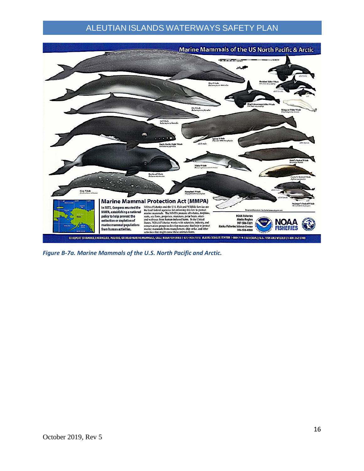### ALEUTIAN ISLANDS WATERWAYS SAFETY PLAN



*Figure B-7a. Marine Mammals of the U.S. North Pacific and Arctic.*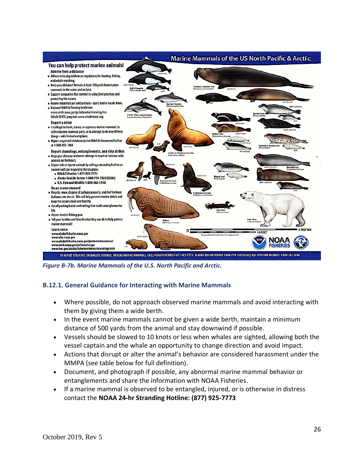

*Figure B-7b. Marine Mammals of the U.S. North Pacific and Arctic.*

#### **B.12.1. General Guidance for Interacting with Marine Mammals**

- Where possible, do not approach observed marine mammals and avoid interacting with them by giving them a wide berth.
- In the event marine mammals cannot be given a wide berth, maintain a minimum distance of 500 yards from the animal and stay downwind if possible.
- Vessels should be slowed to 10 knots or less when whales are sighted, allowing both the vessel captain and the whale an opportunity to change direction and avoid impact.
- Actions that disrupt or alter the animal's behavior are considered harassment under the MMPA (see table below for full definition).
- Document, and photograph if possible, any abnormal marine mammal behavior or entanglements and share the information with NOAA Fisheries.
- If a marine mammal is observed to be entangled, injured, or is otherwise in distress contact the **NOAA 24-hr Stranding Hotline: (877) 925-7773**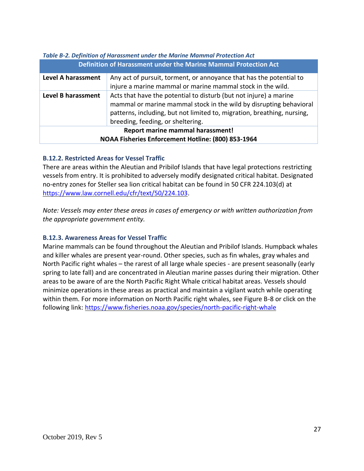| Definition of Harassment under the Marine Mammal Protection Act |                                                                                                                                                                                                                                                         |  |  |  |  |
|-----------------------------------------------------------------|---------------------------------------------------------------------------------------------------------------------------------------------------------------------------------------------------------------------------------------------------------|--|--|--|--|
| <b>Level A harassment</b>                                       | Any act of pursuit, torment, or annoyance that has the potential to<br>injure a marine mammal or marine mammal stock in the wild.                                                                                                                       |  |  |  |  |
| <b>Level B harassment</b>                                       | Acts that have the potential to disturb (but not injure) a marine<br>mammal or marine mammal stock in the wild by disrupting behavioral<br>patterns, including, but not limited to, migration, breathing, nursing,<br>breeding, feeding, or sheltering. |  |  |  |  |
| Report marine mammal harassment!                                |                                                                                                                                                                                                                                                         |  |  |  |  |
| NOAA Fisheries Enforcement Hotline: (800) 853-1964              |                                                                                                                                                                                                                                                         |  |  |  |  |

### *Table B-2. Definition of Harassment under the Marine Mammal Protection Act*

#### **B.12.2. Restricted Areas for Vessel Traffic**

There are areas within the Aleutian and Pribilof Islands that have legal protections restricting vessels from entry. It is prohibited to adversely modify designated critical habitat. Designated no-entry zones for Steller sea lion critical habitat can be found in 50 CFR 224.103(d) at [https://www.law.cornell.edu/cfr/text/50/224.103.](https://www.law.cornell.edu/cfr/text/50/224.103)

*Note: Vessels may enter these areas in cases of emergency or with written authorization from the appropriate government entity.* 

#### **B.12.3. Awareness Areas for Vessel Traffic**

Marine mammals can be found throughout the Aleutian and Pribilof Islands. Humpback whales and killer whales are present year-round. Other species, such as fin whales, gray whales and North Pacific right whales – the rarest of all large whale species - are present seasonally (early spring to late fall) and are concentrated in Aleutian marine passes during their migration. Other areas to be aware of are the North Pacific Right Whale critical habitat areas. Vessels should minimize operations in these areas as practical and maintain a vigilant watch while operating within them. For more information on North Pacific right whales, see Figure B-8 or click on the following link:<https://www.fisheries.noaa.gov/species/north-pacific-right-whale>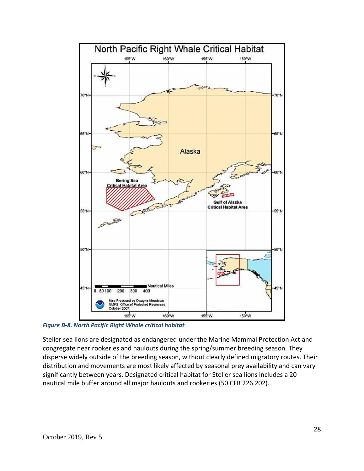

*Figure B-8. North Pacific Right Whale critical habitat*

Steller sea lions are designated as endangered under the Marine Mammal Protection Act and congregate near rookeries and haulouts during the spring/summer breeding season. They disperse widely outside of the breeding season, without clearly defined migratory routes. Their distribution and movements are most likely affected by seasonal prey availability and can vary significantly between years. Designated critical habitat for Steller sea lions includes a 20 nautical mile buffer around all major haulouts and rookeries (50 CFR 226.202).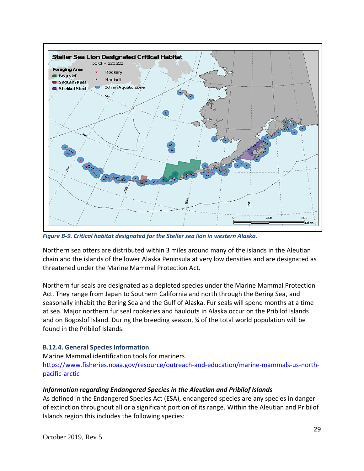

*Figure B-9. Critical habitat designated for the Steller sea lion in western Alaska.*

Northern sea otters are distributed within 3 miles around many of the islands in the Aleutian chain and the islands of the lower Alaska Peninsula at very low densities and are designated as threatened under the Marine Mammal Protection Act.

Northern fur seals are designated as a depleted species under the Marine Mammal Protection Act. They range from Japan to Southern California and north through the Bering Sea, and seasonally inhabit the Bering Sea and the Gulf of Alaska. Fur seals will spend months at a time at sea. Major northern fur seal rookeries and haulouts in Alaska occur on the Pribilof Islands and on Bogoslof Island. During the breeding season, % of the total world population will be found in the Pribilof Islands.

#### **B.12.4. General Species Information**

Marine Mammal identification tools for mariners [https://www.fisheries.noaa.gov/resource/outreach-and-education/marine-mammals-us-north](https://www.fisheries.noaa.gov/resource/outreach-and-education/marine-mammals-us-north-pacific-arctic)[pacific-arctic](https://www.fisheries.noaa.gov/resource/outreach-and-education/marine-mammals-us-north-pacific-arctic)

#### *Information regarding Endangered Species in the Aleutian and Pribilof Islands*

As defined in the Endangered Species Act (ESA), endangered species are any species in danger of extinction throughout all or a significant portion of its range. Within the Aleutian and Pribilof Islands region this includes the following species: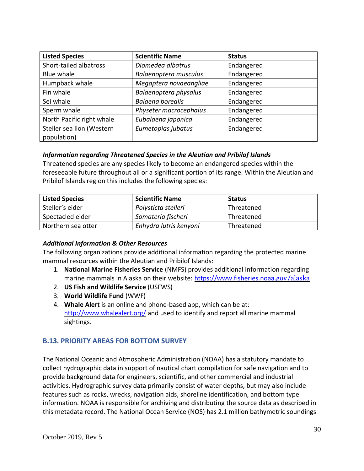| <b>Listed Species</b>                    | <b>Scientific Name</b>  | <b>Status</b> |
|------------------------------------------|-------------------------|---------------|
| Short-tailed albatross                   | Diomedea albatrus       | Endangered    |
| Blue whale                               | Balaenoptera musculus   | Endangered    |
| Humpback whale                           | Megaptera novaeangliae  | Endangered    |
| Fin whale                                | Balaenoptera physalus   | Endangered    |
| Sei whale                                | <b>Balaena borealis</b> | Endangered    |
| Sperm whale                              | Physeter macrocephalus  | Endangered    |
| North Pacific right whale                | Eubalaena japonica      | Endangered    |
| Steller sea lion (Western<br>population) | Eumetopias jubatus      | Endangered    |

#### *Information regarding Threatened Species in the Aleutian and Pribilof Islands*

Threatened species are any species likely to become an endangered species within the foreseeable future throughout all or a significant portion of its range. Within the Aleutian and Pribilof Islands region this includes the following species:

| <b>Listed Species</b> | <b>Scientific Name</b> | <b>Status</b> |
|-----------------------|------------------------|---------------|
| Steller's eider       | Polysticta stelleri    | Threatened    |
| Spectacled eider      | Somateria fischeri     | Threatened    |
| Northern sea otter    | Enhydra lutris kenyoni | Threatened    |

#### *Additional Information & Other Resources*

The following organizations provide additional information regarding the protected marine mammal resources within the Aleutian and Pribilof Islands:

- 1. **National Marine Fisheries Service** (NMFS) provides additional information regarding marine mammals in Alaska on their website: [https://www.fisheries.noaa.g](https://www.fisheries.noaa.gov/alaska)[ov/alaska](https://www.fisheries.noaa.gov/alaska)
- 2. **US Fish and Wildlife Service** (USFWS)
- 3. **World Wildlife Fund** (WWF)
- 4. **Whale Alert** is an online and phone-based app, which can be at: <http://www.whalealert.org/> and used to identify and report all marine mammal sightings.

#### **B.13. PRIORITY AREAS FOR BOTTOM SURVEY**

The National Oceanic and Atmospheric Administration (NOAA) has a statutory mandate to collect hydrographic data in support of nautical chart compilation for safe navigation and to provide background data for engineers, scientific, and other commercial and industrial activities. Hydrographic survey data primarily consist of water depths, but may also include features such as rocks, wrecks, navigation aids, shoreline identification, and bottom type information. NOAA is responsible for archiving and distributing the source data as described in this metadata record. The National Ocean Service (NOS) has 2.1 million bathymetric soundings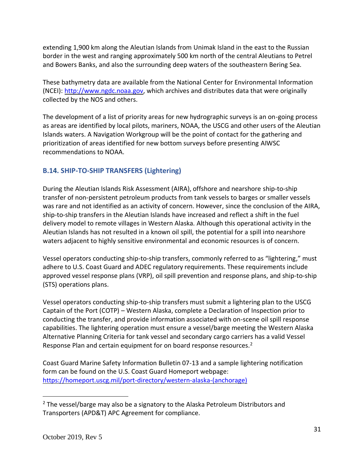extending 1,900 km along the Aleutian Islands from Unimak Island in the east to the Russian border in the west and ranging approximately 500 km north of the central Aleutians to Petrel and Bowers Banks, and also the surrounding deep waters of the southeastern Bering Sea.

These bathymetry data are available from the National Center for Environmental Information (NCEI): [http://www.ngdc.noaa.gov,](http://www.ngdc.noaa.gov/) which archives and distributes data that were originally collected by the NOS and others.

The development of a list of priority areas for new hydrographic surveys is an on-going process as areas are identified by local pilots, mariners, NOAA, the USCG and other users of the Aleutian Islands waters. A Navigation Workgroup will be the point of contact for the gathering and prioritization of areas identified for new bottom surveys before presenting AIWSC recommendations to NOAA.

#### **B.14. SHIP-TO-SHIP TRANSFERS (Lightering)**

During the Aleutian Islands Risk Assessment (AIRA), offshore and nearshore ship-to-ship transfer of non-persistent petroleum products from tank vessels to barges or smaller vessels was rare and not identified as an activity of concern. However, since the conclusion of the AIRA, ship-to-ship transfers in the Aleutian Islands have increased and reflect a shift in the fuel delivery model to remote villages in Western Alaska. Although this operational activity in the Aleutian Islands has not resulted in a known oil spill, the potential for a spill into nearshore waters adjacent to highly sensitive environmental and economic resources is of concern.

Vessel operators conducting ship-to-ship transfers, commonly referred to as "lightering," must adhere to U.S. Coast Guard and ADEC regulatory requirements. These requirements include approved vessel response plans (VRP), oil spill prevention and response plans, and ship-to-ship (STS) operations plans.

Vessel operators conducting ship-to-ship transfers must submit a lightering plan to the USCG Captain of the Port (COTP) – Western Alaska, complete a Declaration of Inspection prior to conducting the transfer, and provide information associated with on-scene oil spill response capabilities. The lightering operation must ensure a vessel/barge meeting the Western Alaska Alternative Planning Criteria for tank vessel and secondary cargo carriers has a valid Vessel Response Plan and certain equipment for on board response resources.<sup>2</sup>

Coast Guard Marine Safety Information Bulletin 07-13 and a sample lightering notification form can be found on the U.S. Coast Guard Homeport webpage: [https://homeport.uscg.mil/port-directory/western-alaska-\(anchorage\)](https://homeport.uscg.mil/port-directory/western-alaska-(anchorage))

 $<sup>2</sup>$  The vessel/barge may also be a signatory to the Alaska Petroleum Distributors and</sup> Transporters (APD&T) APC Agreement for compliance.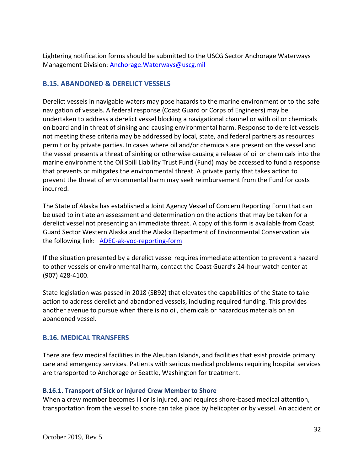Lightering notification forms should be submitted to the USCG Sector Anchorage Waterways Management Division: [Anchorage.Waterways@uscg.mil](mailto:Anchorage.Waterways@uscg.mil)

#### **B.15. ABANDONED & DERELICT VESSELS**

Derelict vessels in navigable waters may pose hazards to the marine environment or to the safe navigation of vessels. A federal response (Coast Guard or Corps of Engineers) may be undertaken to address a derelict vessel blocking a navigational channel or with oil or chemicals on board and in threat of sinking and causing environmental harm. Response to derelict vessels not meeting these criteria may be addressed by local, state, and federal partners as resources permit or by private parties. In cases where oil and/or chemicals are present on the vessel and the vessel presents a threat of sinking or otherwise causing a release of oil or chemicals into the marine environment the Oil Spill Liability Trust Fund (Fund) may be accessed to fund a response that prevents or mitigates the environmental threat. A private party that takes action to prevent the threat of environmental harm may seek reimbursement from the Fund for costs incurred.

The State of Alaska has established a Joint Agency Vessel of Concern Reporting Form that can be used to initiate an assessment and determination on the actions that may be taken for a derelict vessel not presenting an immediate threat. A copy of this form is available from Coast Guard Sector Western Alaska and the Alaska Department of Environmental Conservation via the following link: [ADEC-ak-voc-reporting-form](https://www.google.com/url?q=http://dec.alaska.gov/media/1150/ak-voc-reporting-form-20141.pdf&sa=U&ved=0ahUKEwiBgPeY4YThAhWHvJ4KHZhnCs0QFggEMAA&client=internal-uds-cse&cx=012401256277049822977:gkgyj818gpc&usg=AOvVaw2VfXcQ0_Ni8bWvpZd9zuYF)

If the situation presented by a derelict vessel requires immediate attention to prevent a hazard to other vessels or environmental harm, contact the Coast Guard's 24-hour watch center at (907) 428-4100.

State legislation was passed in 2018 (SB92) that elevates the capabilities of the State to take action to address derelict and abandoned vessels, including required funding. This provides another avenue to pursue when there is no oil, chemicals or hazardous materials on an abandoned vessel.

#### **B.16. MEDICAL TRANSFERS**

There are few medical facilities in the Aleutian Islands, and facilities that exist provide primary care and emergency services. Patients with serious medical problems requiring hospital services are transported to Anchorage or Seattle, Washington for treatment.

#### **B.16.1. Transport of Sick or Injured Crew Member to Shore**

When a crew member becomes ill or is injured, and requires shore-based medical attention, transportation from the vessel to shore can take place by helicopter or by vessel. An accident or